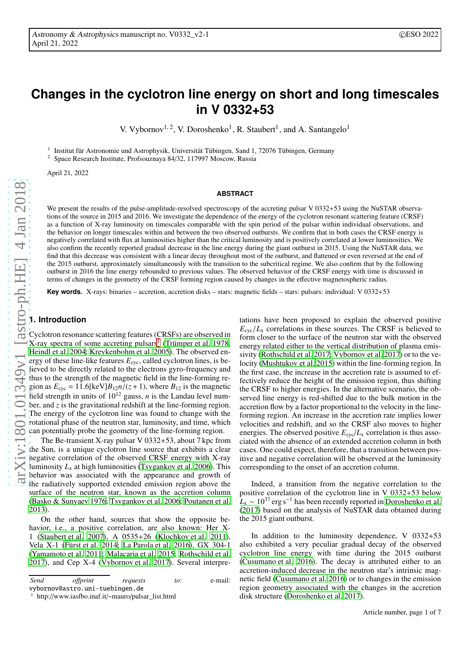# **Changes in the cyclotron line energy on short and long timescales in V 0332+53**

V. Vybornov<sup>1, 2</sup>, V. Doroshenko<sup>1</sup>, R. Staubert<sup>1</sup>, and A. Santangelo<sup>1</sup>

<sup>1</sup> Institut für Astronomie und Astrophysik, Universität Tübingen, Sand 1, 72076 Tübingen, Germany

<sup>2</sup> Space Research Institute, Profsouznaya 84/32, 117997 Moscow, Russia

April 21, 2022

## **ABSTRACT**

We present the results of the pulse-amplitude-resolved spectroscopy of the accreting pulsar V 0332+53 using the NuSTAR observations of the source in 2015 and 2016. We investigate the dependence of the energy of the cyclotron resonant scattering feature (CRSF) as a function of X-ray luminosity on timescales comparable with the spin period of the pulsar within individual observations, and the behavior on longer timescales within and between the two observed outbursts. We confirm that in both cases the CRSF energy is negatively correlated with flux at luminosities higher than the critical luminosity and is positively correlated at lower luminosities. We also confirm the recently reported gradual decrease in the line energy during the giant outburst in 2015. Using the NuSTAR data, we find that this decrease was consistent with a linear decay throughout most of the outburst, and flattened or even reversed at the end of the 2015 outburst, approximately simultaneously with the transition to the subcritical regime. We also confirm that by the following outburst in 2016 the line energy rebounded to previous values. The observed behavior of the CRSF energy with time is discussed in terms of changes in the geometry of the CRSF forming region caused by changes in the effective magnetospheric radius.

**Key words.** X-rays: binaries – accretion, accretion disks – stars: magnetic fields – stars: pulsars: individual: V 0332+53

## **1. Introduction**

Cyclotron resonance scattering features (CRSFs) are observed in X-ray spectra of some accreting pulsars<sup>[1](#page-0-0)</sup> [\(Trümper et al. 1978](#page-6-0); [Heindl et al. 2004](#page-6-1); [Kreykenbohm et al. 2005\)](#page-6-2). The observed energy of these line-like features *E*cyc, called cyclotron lines, is believed to be directly related to the electrons gyro-frequency and thus to the strength of the magnetic field in the line-forming region as  $E_{\text{cyc}} = 11.6[\text{keV}]B_{12}n/(z+1)$ , where  $B_{12}$  is the magnetic field strength in units of  $10^{12}$  gauss, *n* is the Landau level number, and *z* is the gravitational redshift at the line-forming region. The energy of the cyclotron line was found to change with the rotational phase of the neutron star, luminosity, and time, which can potentially probe the geometry of the line-forming region.

The Be-transient X-ray pulsar V 0332+53, about 7 kpc from the Sun, is a unique cyclotron line source that exhibits a clear negative correlation of the observed CRSF energy with X-ray luminosity *L*<sup>x</sup> at high luminosities [\(Tsygankov et al. 2006](#page-6-3)). This behavior was associated with the appearance and growth of the radiatively supported extended emission region above the surface of the neutron star, known as the accretion column [\(Basko & Sunyaev 1976](#page-6-4); [Tsygankov et al. 2006;](#page-6-3) [Poutanen et al.](#page-6-5) [2013\)](#page-6-5).

On the other hand, sources that show the opposite behavior, i.e., a positive correlation, are also known: Her X-1 [\(Staubert et al. 2007](#page-6-6)), A 0535+26 [\(Klochkov et al. 2011](#page-6-7)), Vela X-1 [\(Fürst et al. 2014;](#page-6-8) [La Parola et al. 2016](#page-6-9)), GX 304-1 [\(Yamamoto et al. 2011;](#page-6-10) [Malacaria et al. 2015;](#page-6-11) [Rothschild et al.](#page-6-12) [2017\)](#page-6-12), and Cep X-4 [\(Vybornov et al. 2017](#page-6-13)). Several interpretations have been proposed to explain the observed positive  $E_{\rm cyc}/L_{\rm x}$  correlations in these sources. The CRSF is believed to form closer to the surface of the neutron star with the observed energy related either to the vertical distribution of plasma emissivity [\(Rothschild et al. 2017;](#page-6-12) [Vybornov et al. 2017\)](#page-6-13) or to the velocity [\(Mushtukov et al. 2015\)](#page-6-14) within the line-forming region. In the first case, the increase in the accretion rate is assumed to effectively reduce the height of the emission region, thus shifting the CRSF to higher energies. In the alternative scenario, the observed line energy is red-shifted due to the bulk motion in the accretion flow by a factor proportional to the velocity in the lineforming region. An increase in the accretion rate implies lower velocities and redshift, and so the CRSF also moves to higher energies. The observed positive  $E_{\rm cyc}/L_{\rm x}$  correlation is thus associated with the absence of an extended accretion column in both cases. One could expect, therefore, that a transition between positive and negative correlation will be observed at the luminosity corresponding to the onset of an accretion column.

Indeed, a transition from the negative correlation to the positive correlation of the cyclotron line in V 0332+53 below  $L_{\rm x} \sim 10^{37}$  erg s<sup>-1</sup> has been recently reported in [Doroshenko et al.](#page-6-15) [\(2017\)](#page-6-15) based on the analysis of NuSTAR data obtained during the 2015 giant outburst.

In addition to the luminosity dependence, V 0332+53 also exhibited a very peculiar gradual decay of the observed cyclotron line energy with time during the 2015 outburst [\(Cusumano et al. 2016\)](#page-6-16). The decay is attributed either to an accretion-induced decrease in the neutron star's intrinsic magnetic field [\(Cusumano et al. 2016\)](#page-6-16) or to changes in the emission region geometry associated with the changes in the accretion disk structure [\(Doroshenko et al. 2017](#page-6-15)).

*Send o*ff*print requests to*: e-mail: vybornov@astro.uni-tuebingen.de

<span id="page-0-0"></span><sup>&</sup>lt;sup>1</sup> http://www.iasfbo.inaf.it/~mauro/pulsar\_list.html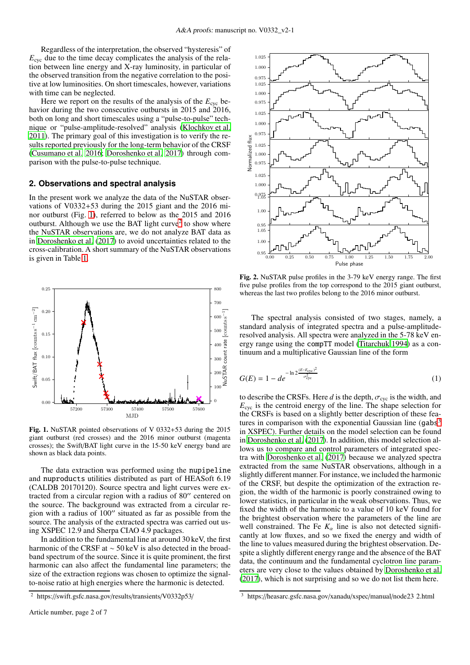Regardless of the interpretation, the observed "hysteresis" of  $E<sub>cyc</sub>$  due to the time decay complicates the analysis of the relation between line energy and X-ray luminosity, in particular of the observed transition from the negative correlation to the positive at low luminosities. On short timescales, however, variations with time can be neglected.

Here we report on the results of the analysis of the  $E_{\rm cyc}$  behavior during the two consecutive outbursts in 2015 and 2016, both on long and short timescales using a "pulse-to-pulse" technique or "pulse-amplitude-resolved" analysis [\(Klochkov et al.](#page-6-7) [2011\)](#page-6-7). The primary goal of this investigation is to verify the results reported previously for the long-term behavior of the CRSF [\(Cusumano et al. 2016;](#page-6-16) [Doroshenko et al. 2017\)](#page-6-15) through comparison with the pulse-to-pulse technique.

## **2. Observations and spectral analysis**

In the present work we analyze the data of the NuSTAR observations of V0332+53 during the 2015 giant and the 2016 minor outburst (Fig. [1\)](#page-1-0), referred to below as the 2015 and 2016 outburst. Although we use the BAT light curve<sup>[2](#page-1-1)</sup> to show where the NuSTAR observations are, we do not analyze BAT data as in [Doroshenko et al. \(2017\)](#page-6-15) to avoid uncertainties related to the cross-calibration. A short summary of the NuSTAR observations is given in Table [1.](#page-2-0)



<span id="page-1-0"></span>Fig. 1. NuSTAR pointed observations of V 0332+53 during the 2015 giant outburst (red crosses) and the 2016 minor outburst (magenta crosses); the Swift/BAT light curve in the 15-50 keV energy band are shown as black data points.

The data extraction was performed using the nupipeline and nuproducts utilities distributed as part of HEASoft 6.19 (CALDB 20170120). Source spectra and light curves were extracted from a circular region with a radius of 80′′ centered on the source. The background was extracted from a circular region with a radius of 100′′ situated as far as possible from the source. The analysis of the extracted spectra was carried out using XSPEC 12.9 and Sherpa CIAO 4.9 packages.

In addition to the fundamental line at around 30 keV, the first harmonic of the CRSF at ∼ 50 keV is also detected in the broadband spectrum of the source. Since it is quite prominent, the first harmonic can also affect the fundamental line parameters; the size of the extraction regions was chosen to optimize the signalto-noise ratio at high energies where the harmonic is detected.



<span id="page-1-3"></span>Fig. 2. NuSTAR pulse profiles in the 3-79 keV energy range. The first five pulse profiles from the top correspond to the 2015 giant outburst, whereas the last two profiles belong to the 2016 minor outburst.

The spectral analysis consisted of two stages, namely, a standard analysis of integrated spectra and a pulse-amplituderesolved analysis. All spectra were analyzed in the 5-78 keV energy range using the compTT model [\(Titarchuk 1994\)](#page-6-17) as a continuum and a multiplicative Gaussian line of the form

$$
G(E) = 1 - de^{-\ln 2 \frac{(E - E_{\text{cyc}})^2}{\sigma_{\text{cyc}}^2}}
$$
\n(1)

to describe the CRSFs. Here *d* is the depth,  $\sigma_{\rm cyc}$  is the width, and  $E_{\text{cyc}}$  is the centroid energy of the line. The shape selection for the CRSFs is based on a slightly better description of these features in comparison with the exponential Gaussian line  $(gabs<sup>3</sup>)$  $(gabs<sup>3</sup>)$  $(gabs<sup>3</sup>)$ in XSPEC). Further details on the model selection can be found in [Doroshenko et al.](#page-6-15) [\(2017\)](#page-6-15). In addition, this model selection allows us to compare and control parameters of integrated spectra with [Doroshenko et al. \(2017](#page-6-15)) because we analyzed spectra extracted from the same NuSTAR observations, although in a slightly different manner. For instance, we included the harmonic of the CRSF, but despite the optimization of the extraction region, the width of the harmonic is poorly constrained owing to lower statistics, in particular in the weak observations. Thus, we fixed the width of the harmonic to a value of 10 keV found for the brightest observation where the parameters of the line are well constrained. The Fe  $K_{\alpha}$  line is also not detected significantly at low fluxes, and so we fixed the energy and width of the line to values measured during the brightest observation. Despite a slightly different energy range and the absence of the BAT data, the continuum and the fundamental cyclotron line parameters are very close to the values obtained by [Doroshenko et al.](#page-6-15) [\(2017\)](#page-6-15), which is not surprising and so we do not list them here.

<span id="page-1-1"></span><sup>2</sup> https://swift.gsfc.nasa.gov/results/transients/V0332p53/

<span id="page-1-2"></span><sup>3</sup> https://heasarc.gsfc.nasa.gov/xanadu/xspec/manual/node23 2.html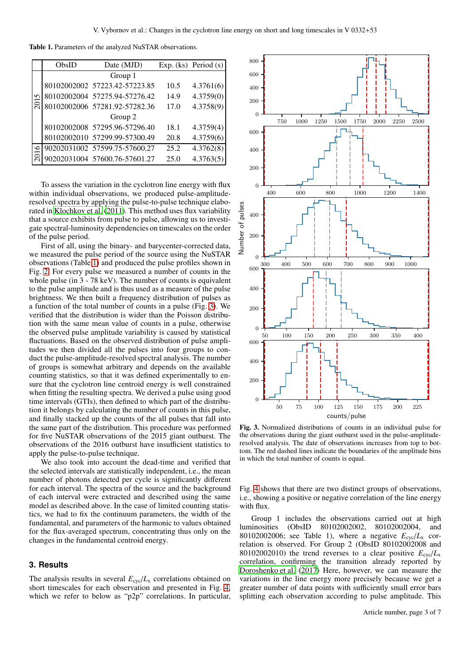<span id="page-2-0"></span>

|  |  |  |  |  | <b>Table 1.</b> Parameters of the analyzed NuSTAR observations. |
|--|--|--|--|--|-----------------------------------------------------------------|
|--|--|--|--|--|-----------------------------------------------------------------|

|      | ObsID   | Date (MJD)                    |      | Exp. $(ks)$ Period $(s)$ |  |
|------|---------|-------------------------------|------|--------------------------|--|
|      | Group 1 |                               |      |                          |  |
|      |         | 80102002002 57223.42-57223.85 | 10.5 | 4.3761(6)                |  |
|      |         | 80102002004 57275.94-57276.42 | 14.9 | 4.3759(0)                |  |
| 2015 |         | 80102002006 57281.92-57282.36 | 17.0 | 4.3758(9)                |  |
|      | Group 2 |                               |      |                          |  |
|      |         | 80102002008 57295.96-57296.40 | 18.1 | 4.3759(4)                |  |
|      |         | 80102002010 57299.99-57300.49 | 20.8 | 4.3759(6)                |  |
|      |         | 90202031002 57599.75-57600.27 | 25.2 | 4.3762(8)                |  |
| 2016 |         | 90202031004 57600.76-57601.27 | 25.0 | 4.3763                   |  |

To assess the variation in the cyclotron line energy with flux within individual observations, we produced pulse-amplituderesolved spectra by applying the pulse-to-pulse technique elaborated in [Klochkov et al. \(2011\)](#page-6-7). This method uses flux variability that a source exhibits from pulse to pulse, allowing us to investigate spectral-luminosity dependencies on timescales on the order of the pulse period.

First of all, using the binary- and barycenter-corrected data, we measured the pulse period of the source using the NuSTAR observations (Table [1\)](#page-2-0) and produced the pulse profiles shown in Fig. [2.](#page-1-3) For every pulse we measured a number of counts in the whole pulse (in 3 - 78 keV). The number of counts is equivalent to the pulse amplitude and is thus used as a measure of the pulse brightness. We then built a frequency distribution of pulses as a function of the total number of counts in a pulse (Fig. [3\)](#page-2-1). We verified that the distribution is wider than the Poisson distribution with the same mean value of counts in a pulse, otherwise the observed pulse amplitude variability is caused by statistical fluctuations. Based on the observed distribution of pulse amplitudes we then divided all the pulses into four groups to conduct the pulse-amplitude-resolved spectral analysis. The number of groups is somewhat arbitrary and depends on the available counting statistics, so that it was defined experimentally to ensure that the cyclotron line centroid energy is well constrained when fitting the resulting spectra. We derived a pulse using good time intervals (GTIs), then defined to which part of the distribution it belongs by calculating the number of counts in this pulse, and finally stacked up the counts of the all pulses that fall into the same part of the distribution. This procedure was performed for five NuSTAR observations of the 2015 giant outburst. The observations of the 2016 outburst have insufficient statistics to apply the pulse-to-pulse technique.

We also took into account the dead-time and verified that the selected intervals are statistically independent, i.e., the mean number of photons detected per cycle is significantly different for each interval. The spectra of the source and the background of each interval were extracted and described using the same model as described above. In the case of limited counting statistics, we had to fix the continuum parameters, the width of the fundamental, and parameters of the harmonic to values obtained for the flux-averaged spectrum, concentrating thus only on the changes in the fundamental centroid energy.

## **3. Results**

The analysis results in several  $E_{\text{cyc}}/L_{\text{x}}$  correlations obtained on short timescales for each observation and presented in Fig. [4,](#page-3-0) which we refer to below as "p2p" correlations. In particular,



<span id="page-2-1"></span>Fig. 3. Normalized distributions of counts in an individual pulse for the observations during the giant outburst used in the pulse-amplituderesolved analysis. The date of observations increases from top to bottom. The red dashed lines indicate the boundaries of the amplitude bins in which the total number of counts is equal.

Fig. [4](#page-3-0) shows that there are two distinct groups of observations, i.e., showing a positive or negative correlation of the line energy with flux.

Group 1 includes the observations carried out at high luminosities (ObsID 80102002002, 80102002004, and 80102002006; see Table 1), where a negative  $E_{\rm cyc}/L_{\rm x}$  correlation is observed. For Group 2 (ObsID 80102002008 and 80102002010) the trend reverses to a clear positive  $E_{\rm cyc}/L_{\rm x}$ correlation, confirming the transition already reported by [Doroshenko et al. \(2017\)](#page-6-15) Here, however, we can measure the variations in the line energy more precisely because we get a greater number of data points with sufficiently small error bars splitting each observation according to pulse amplitude. This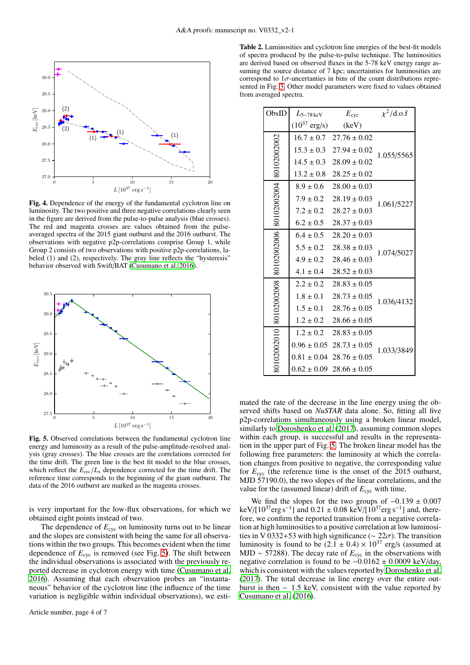

<span id="page-3-0"></span>Fig. 4. Dependence of the energy of the fundamental cyclotron line on luminosity. The two positive and three negative correlations clearly seen in the figure are derived from the pulse-to-pulse analysis (blue crosses). The red and magenta crosses are values obtained from the pulseaveraged spectra of the 2015 giant outburst and the 2016 outburst. The observations with negative p2p-correlations comprise Group 1, while Group 2 consists of two observations with positive p2p-correlations, labeled (1) and (2), respectively. The gray line reflects the "hysteresis" behavior observed with Swift/BAT [\(Cusumano et al. 2016\)](#page-6-16).



<span id="page-3-1"></span>Fig. 5. Observed correlations between the fundamental cyclotron line energy and luminosity as a result of the pulse-amplitude-resolved analysis (gray crosses). The blue crosses are the correlations corrected for the time drift. The green line is the best fit model to the blue crosses, which reflect the  $E_{\text{cyc}}/L_{\text{x}}$  dependence corrected for the time drift. The reference time corresponds to the beginning of the giant outburst. The data of the 2016 outburst are marked as the magenta crosses.

is very important for the low-flux observations, for which we obtained eight points instead of two.

The dependence of  $E_{\text{cyc}}$  on luminosity turns out to be linear and the slopes are consistent with being the same for all observations within the two groups. This becomes evident when the time dependence of  $E_{\text{cyc}}$  is removed (see Fig. [5\)](#page-3-1). The shift between the individual observations is associated with the previously reported decrease in cyclotron energy with time [\(Cusumano et al.](#page-6-16) [2016\)](#page-6-16). Assuming that each observation probes an "instantaneous" behavior of the cyclotron line (the influence of the time variation is negligible within individual observations), we esti-

Table 2. Luminosities and cyclotron line energies of the best-fit models of spectra produced by the pulse-to-pulse technique. The luminosities are derived based on observed fluxes in the 5-78 keV energy range assuming the source distance of 7 kpc; uncertainties for luminosities are correspond to  $1\sigma$ -uncertanties in bins of the count distributions represented in Fig. [3.](#page-2-1) Other model parameters were fixed to values obtained from averaged spectra.

| ObsID                               | $L_{\rm 5-78\,keV}$             | $E_{\rm cyc}$                    | $\chi^2$ /d.o.f |  |
|-------------------------------------|---------------------------------|----------------------------------|-----------------|--|
|                                     | $(10^{37} \text{ erg/s})$ (keV) |                                  |                 |  |
|                                     |                                 | $16.7 \pm 0.7$ 27.76 $\pm$ 0.02  |                 |  |
| 80102002002                         |                                 | $15.3 \pm 0.3$ $27.94 \pm 0.02$  | 1.055/5565      |  |
|                                     |                                 | $14.5 \pm 0.3$ $28.09 \pm 0.02$  |                 |  |
|                                     |                                 | $13.2 \pm 0.8$ $28.25 \pm 0.02$  |                 |  |
| 80102002004                         |                                 | $8.9 \pm 0.6$ $28.00 \pm 0.03$   |                 |  |
|                                     |                                 | $7.9 \pm 0.2$ $28.19 \pm 0.03$   | 1.061/5227      |  |
|                                     |                                 | $7.2 \pm 0.2$ $28.27 \pm 0.03$   |                 |  |
|                                     |                                 | $6.2 \pm 0.5$ $28.37 \pm 0.03$   |                 |  |
|                                     |                                 | $6.4 \pm 0.5$ $28.20 \pm 0.03$   |                 |  |
|                                     |                                 | $5.5 \pm 0.2$ $28.38 \pm 0.03$   | 1.074/5027      |  |
|                                     |                                 | $4.9 \pm 0.2$ $28.46 \pm 0.03$   |                 |  |
|                                     |                                 | $4.1 \pm 0.4$ $28.52 \pm 0.03$   |                 |  |
|                                     |                                 | $2.2 \pm 0.2$ $28.83 \pm 0.05$   |                 |  |
|                                     |                                 | $1.8 \pm 0.1$ $28.73 \pm 0.05$   | 1.036/4132      |  |
|                                     |                                 | $1.5 \pm 0.1$ $28.76 \pm 0.05$   |                 |  |
|                                     |                                 | $1.2 \pm 0.2$ $28.66 \pm 0.05$   |                 |  |
| 80102002010 80102002008 80102002006 |                                 | $1.2 \pm 0.2$ $28.83 \pm 0.05$   |                 |  |
|                                     |                                 | $0.96 \pm 0.05$ 28.73 $\pm$ 0.05 | 1.033/3849      |  |
|                                     |                                 | $0.81 \pm 0.04$ 28.76 $\pm 0.05$ |                 |  |
|                                     |                                 | $0.62 \pm 0.09$ 28.66 $\pm 0.05$ |                 |  |

mated the rate of the decrease in the line energy using the observed shifts based on *NuSTAR* data alone. So, fitting all five p2p-correlations simultaneously using a broken linear model, similarly to [Doroshenko et al.](#page-6-15) [\(2017\)](#page-6-15), assuming common slopes within each group, is successful and results in the representation in the upper part of Fig. [5.](#page-3-1) The broken linear model has the following free parameters: the luminosity at which the correlation changes from positive to negative, the corresponding value for *E*cyc (the reference time is the onset of the 2015 outburst, MJD 57190.0), the two slopes of the linear correlations, and the value for the (assumed linear) drift of  $E_{\rm cyc}$  with time.

We find the slopes for the two groups of  $-0.139 \pm 0.007$ keV/[10<sup>37</sup>erg s<sup>-1</sup>] and  $0.21 \pm 0.08$  keV/[10<sup>37</sup>erg s<sup>-1</sup>] and, therefore, we confirm the reported transition from a negative correlation at high luminosities to a positive correlation at low luminosities in V 0332+53 with high significance ( $\sim 22\sigma$ ). The transition luminosity is found to be  $(2.1 \pm 0.4) \times 10^{37}$  erg/s (assumed at MJD ∼ 57288). The decay rate of *E*cyc in the observations with negative correlation is found to be  $-0.0162 \pm 0.0009$  keV/day, which is consistent with the values reported by [Doroshenko et al.](#page-6-15) [\(2017\)](#page-6-15). The total decrease in line energy over the entire outburst is then  $\sim 1.5$  keV, consistent with the value reported by [Cusumano et al.](#page-6-16) [\(2016\)](#page-6-16).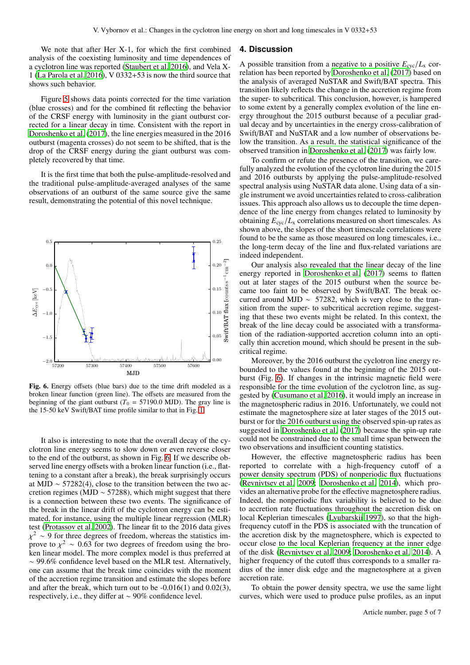We note that after Her X-1, for which the first combined analysis of the coexisting luminosity and time dependences of a cyclotron line was reported [\(Staubert et al. 2016\)](#page-6-18), and Vela X-1 [\(La Parola et al. 2016\)](#page-6-9), V 0332+53 is now the third source that shows such behavior.

Figure [5](#page-3-1) shows data points corrected for the time variation (blue crosses) and for the combined fit reflecting the behavior of the CRSF energy with luminosity in the giant outburst corrected for a linear decay in time. Consistent with the report in [Doroshenko et al.](#page-6-15) [\(2017\)](#page-6-15), the line energies measured in the 2016 outburst (magenta crosses) do not seem to be shifted, that is the drop of the CRSF energy during the giant outburst was completely recovered by that time.

It is the first time that both the pulse-amplitude-resolved and the traditional pulse-amplitude-averaged analyses of the same observations of an outburst of the same source give the same result, demonstrating the potential of this novel technique.



<span id="page-4-0"></span>Fig. 6. Energy offsets (blue bars) due to the time drift modeled as a broken linear function (green line). The offsets are measured from the beginning of the giant outburst ( $T_0 = 57190.0$  MJD). The gray line is the 15-50 keV Swift/BAT time profile similar to that in Fig. [1.](#page-1-0)

It also is interesting to note that the overall decay of the cyclotron line energy seems to slow down or even reverse closer to the end of the outburst, as shown in Fig. [6.](#page-4-0) If we describe observed line energy offsets with a broken linear function (i.e., flattening to a constant after a break), the break surprisingly occurs at MJD ∼ 57282(4), close to the transition between the two accretion regimes (MJD  $\sim$  57288), which might suggest that there is a connection between these two events. The significance of the break in the linear drift of the cyclotron energy can be estimated, for instance, using the multiple linear regression (MLR) test [\(Protassov et al. 2002](#page-6-19)). The linear fit to the 2016 data gives  $\chi^2 \sim 9$  for three degrees of freedom, whereas the statistics improve to  $\chi^2 \sim 0.63$  for two degrees of freedom using the broken linear model. The more complex model is thus preferred at ∼ 99.6% confidence level based on the MLR test. Alternatively, one can assume that the break time coincides with the moment of the accretion regime transition and estimate the slopes before and after the break, which turn out to be  $-0.016(1)$  and  $0.02(3)$ , respectively, i.e., they differ at ∼ 90% confidence level.

## **4. Discussion**

A possible transition from a negative to a positive  $E_{\rm cyc}/L_{\rm x}$  correlation has been reported by [Doroshenko et al.](#page-6-15) [\(2017\)](#page-6-15) based on the analysis of averaged NuSTAR and Swift/BAT spectra. This transition likely reflects the change in the accretion regime from the super- to subcritical. This conclusion, however, is hampered to some extent by a generally complex evolution of the line energy throughout the 2015 outburst because of a peculiar gradual decay and by uncertainties in the energy cross-calibration of Swift/BAT and NuSTAR and a low number of observations below the transition. As a result, the statistical significance of the observed transition in [Doroshenko et al. \(2017](#page-6-15)) was fairly low.

To confirm or refute the presence of the transition, we carefully analyzed the evolution of the cyclotron line during the 2015 and 2016 outbursts by applying the pulse-amplitude-resolved spectral analysis using NuSTAR data alone. Using data of a single instrument we avoid uncertainties related to cross-calibration issues. This approach also allows us to decouple the time dependence of the line energy from changes related to luminosity by obtaining  $E_{\rm cyc}/L_{\rm x}$  correlations measured on short timescales. As shown above, the slopes of the short timescale correlations were found to be the same as those measured on long timescales, i.e., the long-term decay of the line and flux-related variations are indeed independent.

Our analysis also revealed that the linear decay of the line energy reported in [Doroshenko et al. \(2017\)](#page-6-15) seems to flatten out at later stages of the 2015 outburst when the source became too faint to be observed by Swift/BAT. The break occurred around MJD  $\sim$  57282, which is very close to the transition from the super- to subcritical accretion regime, suggesting that these two events might be related. In this context, the break of the line decay could be associated with a transformation of the radiation-supported accretion column into an optically thin accretion mound, which should be present in the subcritical regime.

Moreover, by the 2016 outburst the cyclotron line energy rebounded to the values found at the beginning of the 2015 outburst (Fig. [6\)](#page-4-0). If changes in the intrinsic magnetic field were responsible for the time evolution of the cyclotron line, as suggested by [\(Cusumano et al. 2016](#page-6-16)), it would imply an increase in the magnetospheric radius in 2016. Unfortunately, we could not estimate the magnetosphere size at later stages of the 2015 outburst or for the 2016 outburst using the observed spin-up rates as suggested in [Doroshenko et al.](#page-6-15) [\(2017\)](#page-6-15) because the spin-up rate could not be constrained due to the small time span between the two observations and insufficient counting statistics.

However, the effective magnetospheric radius has been reported to correlate with a high-frequency cutoff of a power density spectrum (PDS) of nonperiodic flux fluctuations [\(Revnivtsev et al. 2009;](#page-6-20) [Doroshenko et al. 2014](#page-6-21)), which provides an alternative probe for the effective magnetosphere radius. Indeed, the nonperiodic flux variability is believed to be due to accretion rate fluctuations throughout the accretion disk on local Keplerian timescales [\(Lyubarskii 1997\)](#page-6-22), so that the highfrequency cutoff in the PDS is associated with the truncation of the accretion disk by the magnetosphere, which is expected to occur close to the local Keplerian frequency at the inner edge of the disk [\(Revnivtsev et al. 2009;](#page-6-20) [Doroshenko et al. 2014](#page-6-21)). A higher frequency of the cutoff thus corresponds to a smaller radius of the inner disk edge and the magnetosphere at a given accretion rate.

To obtain the power density spectra, we use the same light curves, which were used to produce pulse profiles, as an input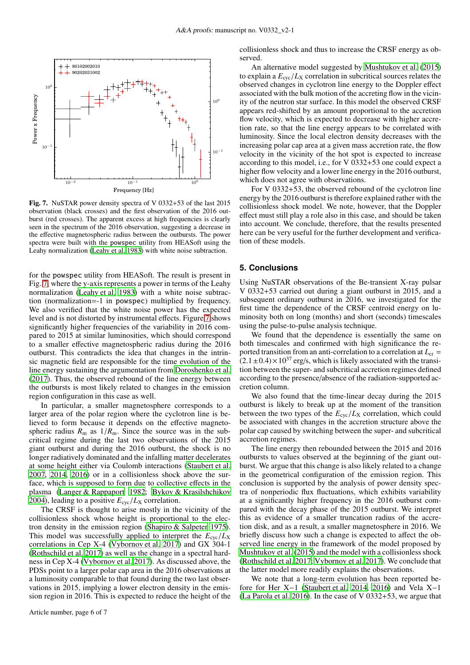

<span id="page-5-0"></span>Fig. 7. NuSTAR power density spectra of V 0332+53 of the last 2015 observation (black crosses) and the first observation of the 2016 outburst (red crosses). The apparent excess at high frequencies is clearly seen in the spectrum of the 2016 observation, suggesting a decrease in the effective magnetospheric radius between the outbursts. The power spectra were built with the powspec utility from HEASoft using the Leahy normalization [\(Leahy et al. 1983\)](#page-6-23) with white noise subtraction.

for the powspec utility from HEASoft. The result is present in Fig. [7,](#page-5-0) where the y-axis represents a power in terms of the Leahy normalization [\(Leahy et al. 1983\)](#page-6-23) with a white noise subtraction (normalization=-1 in powspec) multiplied by frequency. We also verified that the white noise power has the expected level and is not distorted by instrumental effects. Figure [7](#page-5-0) shows significantly higher frequencies of the variability in 2016 compared to 2015 at similar luminosities, which should correspond to a smaller effective magnetospheric radius during the 2016 outburst. This contradicts the idea that changes in the intrinsic magnetic field are responsible for the time evolution of the line energy sustaining the argumentation from [Doroshenko et al.](#page-6-15) [\(2017](#page-6-15)). Thus, the observed rebound of the line energy between the outbursts is most likely related to changes in the emission region configuration in this case as well.

In particular, a smaller magnetosphere corresponds to a larger area of the polar region where the cyclotron line is believed to form because it depends on the effective magnetospheric radius  $R_m$  as  $1/R_m$ . Since the source was in the subcritical regime during the last two observations of the 2015 giant outburst and during the 2016 outburst, the shock is no longer radiatively dominated and the infalling matter decelerates at some height either via Coulomb interactions [\(Staubert et](#page-6-6) al. [2007,](#page-6-6) [2014,](#page-6-24) [2016\)](#page-6-18) or in a collisionless shock above the surface, which is supposed to form due to collective effects in the plasma [\(Langer & Rappaport 1982;](#page-6-25) [Bykov & Krasilshchikov](#page-6-26) [2004\)](#page-6-26), leading to a positive  $E_{\text{cyc}}/L_X$  correlation.

The CRSF is thought to arise mostly in the vicinity of the collisionless shock whose height is proportional to the electron density in the emission region [\(Shapiro & Salpeter 1975](#page-6-27)). This model was successfully applied to interpret the  $E_{\rm cyc}/L_{\rm X}$ correlations in Cep X-4 [\(Vybornov et al. 2017](#page-6-13)) and GX 304-1 [\(Rothschild et al. 2017\)](#page-6-12) as well as the change in a spectral hardness in Cep X-4 [\(Vybornov et al. 2017\)](#page-6-13). As discussed above, the PDSs point to a larger polar cap area in the 2016 observations at a luminosity comparable to that found during the two last observations in 2015, implying a lower electron density in the emission region in 2016. This is expected to reduce the height of the

Article number, page 6 of 7

collisionless shock and thus to increase the CRSF energy as observed.

An alternative model suggested by [Mushtukov et al. \(2015](#page-6-14)) to explain a *E*cyc/*L*<sup>X</sup> correlation in subcritical sources relates the observed changes in cyclotron line energy to the Doppler effect associated with the bulk motion of the accreting flow in the vicinity of the neutron star surface. In this model the observed CRSF appears red-shifted by an amount proportional to the accretion flow velocity, which is expected to decrease with higher accretion rate, so that the line energy appears to be correlated with luminosity. Since the local electron density decreases with the increasing polar cap area at a given mass accretion rate, the flow velocity in the vicinity of the hot spot is expected to increase according to this model, i.e., for V 0332+53 one could expect a higher flow velocity and a lower line energy in the 2016 outburst, which does not agree with observations.

For V 0332+53, the observed rebound of the cyclotron line energy by the 2016 outburst is therefore explained rather with the collisionless shock model. We note, however, that the Doppler effect must still play a role also in this case, and should be taken into account. We conclude, therefore, that the results presented here can be very useful for the further development and verification of these models.

## **5. Conclusions**

Using NuSTAR observations of the Be-transient X-ray pulsar V 0332+53 carried out during a giant outburst in 2015, and a subsequent ordinary outburst in 2016, we investigated for the first time the dependence of the CRSF centroid energy on luminosity both on long (months) and short (seconds) timescales using the pulse-to-pulse analysis technique.

We found that the dependence is essentially the same on both timescales and confirmed with high significance the reported transition from an anti-correlation to a correlation at  $L_{cr}$  =  $(2.1\pm0.4)\times10^{37}$  erg/s, which is likely associated with the transition between the super- and subcritical accretion regimes defined according to the presence/absence of the radiation-supported accretion column.

We also found that the time-linear decay during the 2015 outburst is likely to break up at the moment of the transition between the two types of the  $E_{\rm cyc}/L_{\rm X}$  correlation, which could be associated with changes in the accretion structure above the polar cap caused by switching between the super- and subcritical accretion regimes.

The line energy then rebounded between the 2015 and 2016 outbursts to values observed at the beginning of the giant outburst. We argue that this change is also likely related to a change in the geometrical configuration of the emission region. This conclusion is supported by the analysis of power density spectra of nonperiodic flux fluctuations, which exhibits variability at a significantly higher frequency in the 2016 outburst compared with the decay phase of the 2015 outburst. We interpret this as evidence of a smaller truncation radius of the accretion disk, and as a result, a smaller magnetosphere in 2016. We briefly discuss how such a change is expected to affect the observed line energy in the framework of the model proposed by [Mushtukov et al.](#page-6-14) [\(2015\)](#page-6-14) and the model with a collisionless shock [\(Rothschild et al. 2017;](#page-6-12) [Vybornov et al. 2017\)](#page-6-13). We conclude that the latter model more readily explains the observations.

We note that a long-term evolution has been reported before for Her X−1 [\(Staubert et al. 2014,](#page-6-24) [2016\)](#page-6-18) and Vela X−1 [\(La Parola et al. 2016\)](#page-6-9). In the case of V 0332+53, we argue that